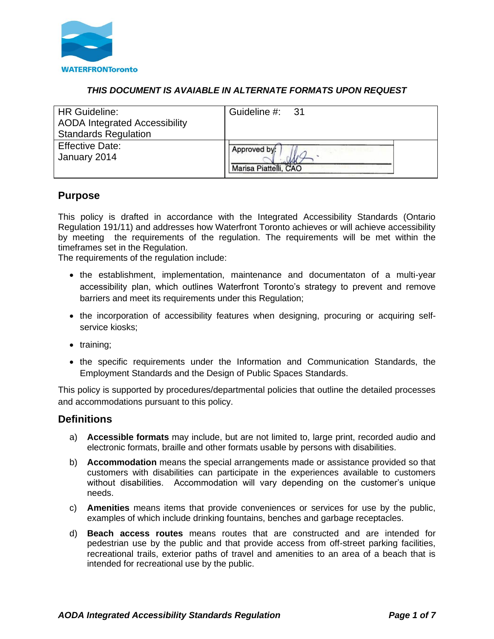

## *THIS DOCUMENT IS AVAIABLE IN ALTERNATE FORMATS UPON REQUEST*

| <b>HR Guideline:</b><br><b>AODA</b> Integrated Accessibility<br><b>Standards Regulation</b> | Guideline #: 31       |
|---------------------------------------------------------------------------------------------|-----------------------|
| <b>Effective Date:</b>                                                                      | Approved by:          |
| January 2014                                                                                | Marisa Piattelli, CAO |

# **Purpose**

This policy is drafted in accordance with the Integrated Accessibility Standards (Ontario Regulation 191/11) and addresses how Waterfront Toronto achieves or will achieve accessibility by meeting the requirements of the regulation. The requirements will be met within the timeframes set in the Regulation.

The requirements of the regulation include:

- the establishment, implementation, maintenance and documentaton of a multi-year accessibility plan, which outlines Waterfront Toronto's strategy to prevent and remove barriers and meet its requirements under this Requiation:
- the incorporation of accessibility features when designing, procuring or acquiring selfservice kiosks;
- training;
- the specific requirements under the Information and Communication Standards, the Employment Standards and the Design of Public Spaces Standards.

This policy is supported by procedures/departmental policies that outline the detailed processes and accommodations pursuant to this policy.

# **Definitions**

- a) **Accessible formats** may include, but are not limited to, large print, recorded audio and electronic formats, braille and other formats usable by persons with disabilities.
- b) **Accommodation** means the special arrangements made or assistance provided so that customers with disabilities can participate in the experiences available to customers without disabilities. Accommodation will vary depending on the customer's unique needs.
- c) **Amenities** means items that provide conveniences or services for use by the public, examples of which include drinking fountains, benches and garbage receptacles.
- d) **Beach access routes** means routes that are constructed and are intended for pedestrian use by the public and that provide access from off-street parking facilities, recreational trails, exterior paths of travel and amenities to an area of a beach that is intended for recreational use by the public.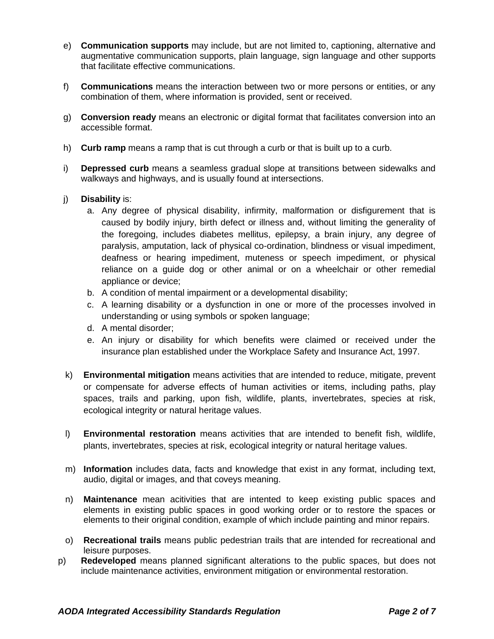- e) **Communication supports** may include, but are not limited to, captioning, alternative and augmentative communication supports, plain language, sign language and other supports that facilitate effective communications.
- f) **Communications** means the interaction between two or more persons or entities, or any combination of them, where information is provided, sent or received.
- g) **Conversion ready** means an electronic or digital format that facilitates conversion into an accessible format.
- h) **Curb ramp** means a ramp that is cut through a curb or that is built up to a curb.
- i) **Depressed curb** means a seamless gradual slope at transitions between sidewalks and walkways and highways, and is usually found at intersections.
- j) **Disability** is:
	- a. Any degree of physical disability, infirmity, malformation or disfigurement that is caused by bodily injury, birth defect or illness and, without limiting the generality of the foregoing, includes diabetes mellitus, epilepsy, a brain injury, any degree of paralysis, amputation, lack of physical co-ordination, blindness or visual impediment, deafness or hearing impediment, muteness or speech impediment, or physical reliance on a guide dog or other animal or on a wheelchair or other remedial appliance or device;
	- b. A condition of mental impairment or a developmental disability;
	- c. A learning disability or a dysfunction in one or more of the processes involved in understanding or using symbols or spoken language;
	- d. A mental disorder;
	- e. An injury or disability for which benefits were claimed or received under the insurance plan established under the Workplace Safety and Insurance Act, 1997.
- k) **Environmental mitigation** means activities that are intended to reduce, mitigate, prevent or compensate for adverse effects of human activities or items, including paths, play spaces, trails and parking, upon fish, wildlife, plants, invertebrates, species at risk, ecological integrity or natural heritage values.
- l) **Environmental restoration** means activities that are intended to benefit fish, wildlife, plants, invertebrates, species at risk, ecological integrity or natural heritage values.
- m) **Information** includes data, facts and knowledge that exist in any format, including text, audio, digital or images, and that coveys meaning.
- n) **Maintenance** mean acitivities that are intented to keep existing public spaces and elements in existing public spaces in good working order or to restore the spaces or elements to their original condition, example of which include painting and minor repairs.
- o) **Recreational trails** means public pedestrian trails that are intended for recreational and leisure purposes.
- p) **Redeveloped** means planned significant alterations to the public spaces, but does not include maintenance activities, environment mitigation or environmental restoration.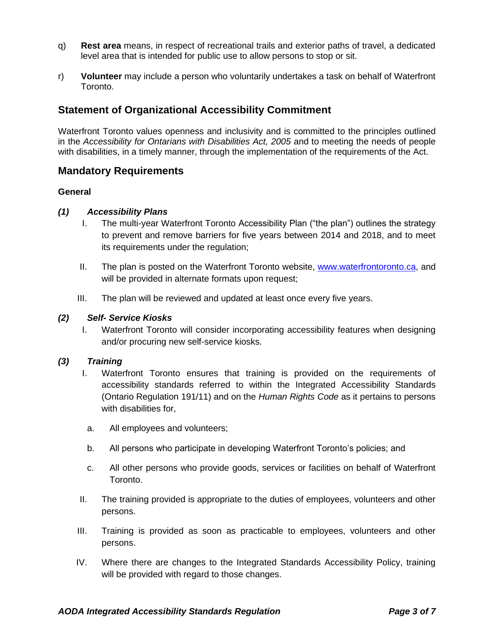- q) **Rest area** means, in respect of recreational trails and exterior paths of travel, a dedicated level area that is intended for public use to allow persons to stop or sit.
- r) **Volunteer** may include a person who voluntarily undertakes a task on behalf of Waterfront Toronto.

# **Statement of Organizational Accessibility Commitment**

Waterfront Toronto values openness and inclusivity and is committed to the principles outlined in the *Accessibility for Ontarians with Disabilities Act, 2005* and to meeting the needs of people with disabilities, in a timely manner, through the implementation of the requirements of the Act.

## **Mandatory Requirements**

#### **General**

#### *(1) Accessibility Plans*

- I. The multi-year Waterfront Toronto Accessibility Plan ("the plan") outlines the strategy to prevent and remove barriers for five years between 2014 and 2018, and to meet its requirements under the regulation;
- II. The plan is posted on the Waterfront Toronto website, [www.waterfrontoronto.ca,](http://www.waterfrontoronto.ca/) and will be provided in alternate formats upon request;
- III. The plan will be reviewed and updated at least once every five years.

#### *(2) Self- Service Kiosks*

I. Waterfront Toronto will consider incorporating accessibility features when designing and/or procuring new self-service kiosks.

### *(3) Training*

- I. Waterfront Toronto ensures that training is provided on the requirements of accessibility standards referred to within the Integrated Accessibility Standards (Ontario Regulation 191/11) and on the *Human Rights Code* as it pertains to persons with disabilities for,
- a. All employees and volunteers;
- b. All persons who participate in developing Waterfront Toronto's policies; and
- c. All other persons who provide goods, services or facilities on behalf of Waterfront Toronto.
- II. The training provided is appropriate to the duties of employees, volunteers and other persons.
- III. Training is provided as soon as practicable to employees, volunteers and other persons.
- IV. Where there are changes to the Integrated Standards Accessibility Policy, training will be provided with regard to those changes.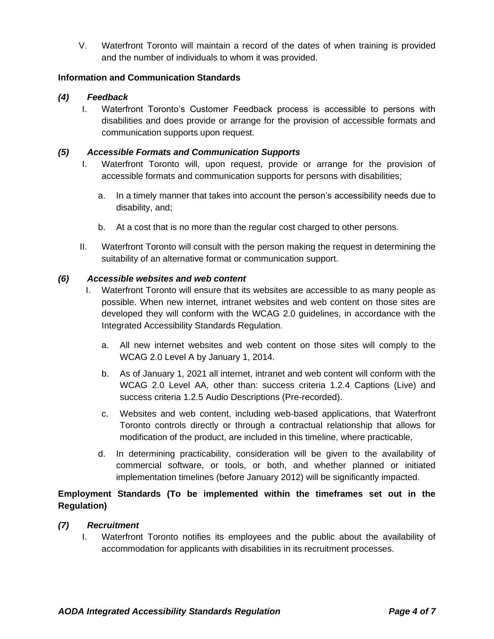V. Waterfront Toronto will maintain a record of the dates of when training is provided and the number of individuals to whom it was provided.

### **Information and Communication Standards**

### *(4) Feedback*

I. Waterfront Toronto's Customer Feedback process is accessible to persons with disabilities and does provide or arrange for the provision of accessible formats and communication supports upon request.

### *(5) Accessible Formats and Communication Supports*

- I. Waterfront Toronto will, upon request, provide or arrange for the provision of accessible formats and communication supports for persons with disabilities;
	- a. In a timely manner that takes into account the person's accessibility needs due to disability, and;
	- b. At a cost that is no more than the regular cost charged to other persons.
- II. Waterfront Toronto will consult with the person making the request in determining the suitability of an alternative format or communication support.

### *(6) Accessible websites and web content*

- I. Waterfront Toronto will ensure that its websites are accessible to as many people as possible. When new internet, intranet websites and web content on those sites are developed they will conform with the WCAG 2.0 guidelines, in accordance with the Integrated Accessibility Standards Regulation.
	- a. All new internet websites and web content on those sites will comply to the WCAG 2.0 Level A by January 1, 2014.
	- b. As of January 1, 2021 all internet, intranet and web content will conform with the WCAG 2.0 Level AA, other than: success criteria 1.2.4 Captions (Live) and success criteria 1.2.5 Audio Descriptions (Pre-recorded).
	- c. Websites and web content, including web-based applications, that Waterfront Toronto controls directly or through a contractual relationship that allows for modification of the product, are included in this timeline, where practicable,
	- d. In determining practicability, consideration will be given to the availability of commercial software, or tools, or both, and whether planned or initiated implementation timelines (before January 2012) will be significantly impacted.

## **Employment Standards (To be implemented within the timeframes set out in the Regulation)**

### *(7) Recruitment*

I. Waterfront Toronto notifies its employees and the public about the availability of accommodation for applicants with disabilities in its recruitment processes.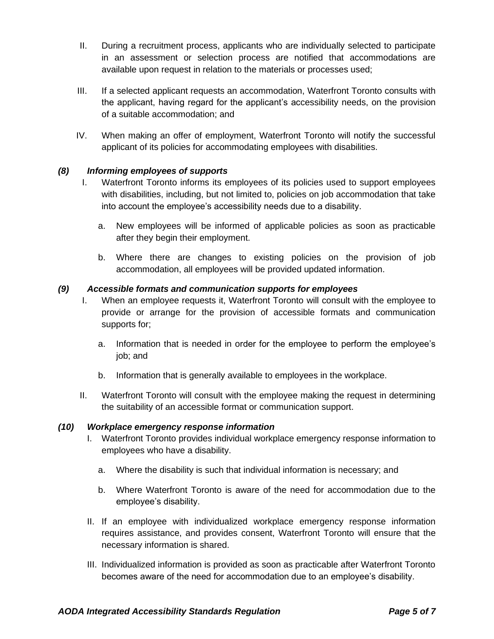- II. During a recruitment process, applicants who are individually selected to participate in an assessment or selection process are notified that accommodations are available upon request in relation to the materials or processes used;
- III. If a selected applicant requests an accommodation, Waterfront Toronto consults with the applicant, having regard for the applicant's accessibility needs, on the provision of a suitable accommodation; and
- IV. When making an offer of employment, Waterfront Toronto will notify the successful applicant of its policies for accommodating employees with disabilities.

## *(8) Informing employees of supports*

- I. Waterfront Toronto informs its employees of its policies used to support employees with disabilities, including, but not limited to, policies on job accommodation that take into account the employee's accessibility needs due to a disability.
	- a. New employees will be informed of applicable policies as soon as practicable after they begin their employment.
	- b. Where there are changes to existing policies on the provision of job accommodation, all employees will be provided updated information.

### *(9) Accessible formats and communication supports for employees*

- I. When an employee requests it, Waterfront Toronto will consult with the employee to provide or arrange for the provision of accessible formats and communication supports for;
	- a. Information that is needed in order for the employee to perform the employee's job; and
	- b. Information that is generally available to employees in the workplace.
- II. Waterfront Toronto will consult with the employee making the request in determining the suitability of an accessible format or communication support.

#### *(10) Workplace emergency response information*

- I. Waterfront Toronto provides individual workplace emergency response information to employees who have a disability.
	- a. Where the disability is such that individual information is necessary; and
	- b. Where Waterfront Toronto is aware of the need for accommodation due to the employee's disability.
- II. If an employee with individualized workplace emergency response information requires assistance, and provides consent, Waterfront Toronto will ensure that the necessary information is shared.
- III. Individualized information is provided as soon as practicable after Waterfront Toronto becomes aware of the need for accommodation due to an employee's disability.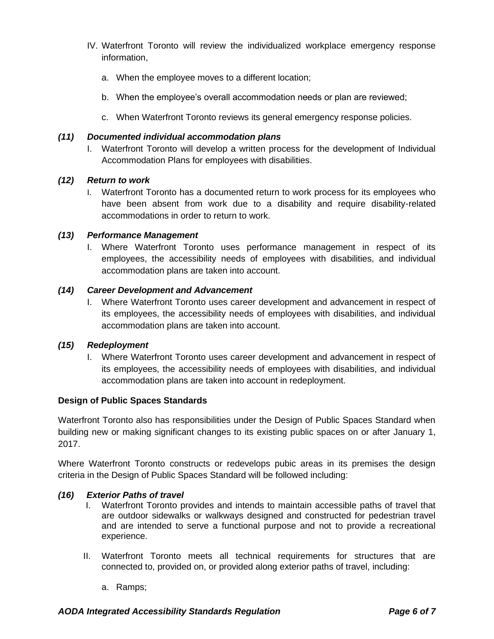- IV. Waterfront Toronto will review the individualized workplace emergency response information,
	- a. When the employee moves to a different location;
	- b. When the employee's overall accommodation needs or plan are reviewed;
	- c. When Waterfront Toronto reviews its general emergency response policies.

### *(11) Documented individual accommodation plans*

I. Waterfront Toronto will develop a written process for the development of Individual Accommodation Plans for employees with disabilities.

### *(12) Return to work*

I. Waterfront Toronto has a documented return to work process for its employees who have been absent from work due to a disability and require disability-related accommodations in order to return to work.

### *(13) Performance Management*

I. Where Waterfront Toronto uses performance management in respect of its employees, the accessibility needs of employees with disabilities, and individual accommodation plans are taken into account.

### *(14) Career Development and Advancement*

I. Where Waterfront Toronto uses career development and advancement in respect of its employees, the accessibility needs of employees with disabilities, and individual accommodation plans are taken into account.

### *(15) Redeployment*

I. Where Waterfront Toronto uses career development and advancement in respect of its employees, the accessibility needs of employees with disabilities, and individual accommodation plans are taken into account in redeployment.

### **Design of Public Spaces Standards**

Waterfront Toronto also has responsibilities under the Design of Public Spaces Standard when building new or making significant changes to its existing public spaces on or after January 1, 2017.

Where Waterfront Toronto constructs or redevelops pubic areas in its premises the design criteria in the Design of Public Spaces Standard will be followed including:

### *(16) Exterior Paths of travel*

- I. Waterfront Toronto provides and intends to maintain accessible paths of travel that are outdoor sidewalks or walkways designed and constructed for pedestrian travel and are intended to serve a functional purpose and not to provide a recreational experience.
- II. Waterfront Toronto meets all technical requirements for structures that are connected to, provided on, or provided along exterior paths of travel, including:
	- a. Ramps;